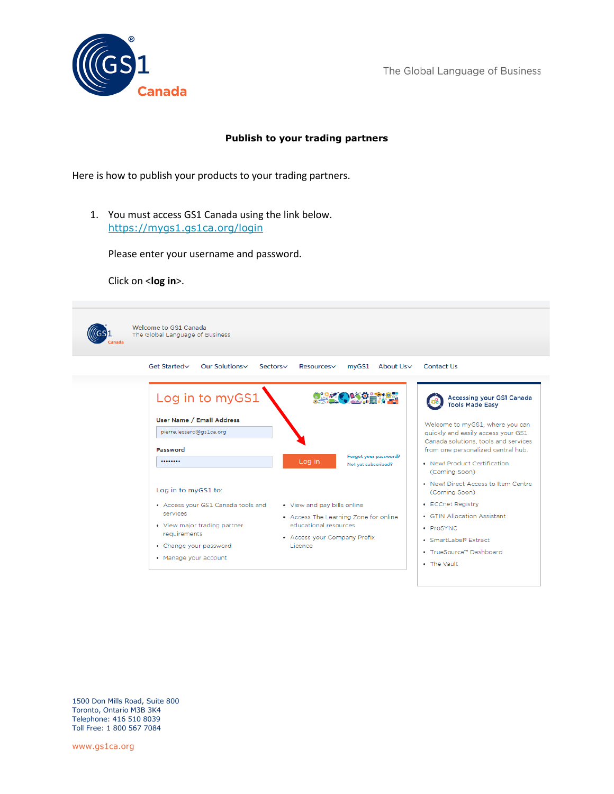

## **Publish to your trading partners**

Here is how to publish your products to your trading partners.

1. You must access GS1 Canada using the link below. <https://mygs1.gs1ca.org/login>

Please enter your username and password.

Click on <**log in**>.



1500 Don Mills Road, Suite 800 Toronto, Ontario M3B 3K4 Telephone: 416 510 8039 Toll Free: 1 800 567 7084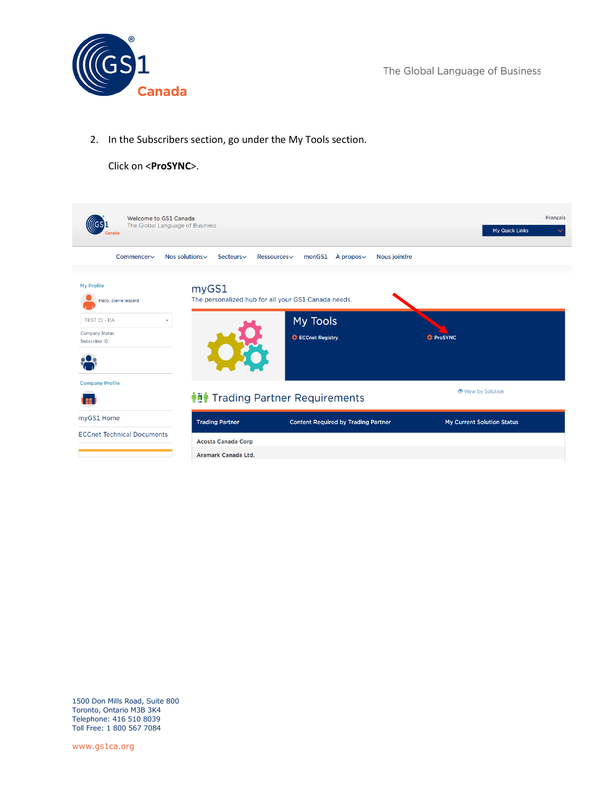

2. In the Subscribers section, go under the My Tools section.

## Click on <**ProSYNC**>.

| <b>Welcome to GS1 Canada</b><br>The Global Language of Business                                 |                                                  |                                                                                    | <b>Français</b><br>My Quick Links |
|-------------------------------------------------------------------------------------------------|--------------------------------------------------|------------------------------------------------------------------------------------|-----------------------------------|
| Commencer∨                                                                                      | Nos solutions~<br>Secteurs∨                      | $\lambda$ propos $\vee$<br>monGS1<br>Ressources                                    | Nous joindre                      |
| My Profile<br>Hello, pierre lessard<br><b>TEST CI - DA</b><br>Company Status:<br>Subscriber ID: | myGS1                                            | The personalized hub for all your GS1 Canada needs.<br>My Tools<br>ECCnet Registry | <b><i>D</i></b> ProSYNC           |
| <b>Company Profile</b>                                                                          |                                                  | <b>† in</b> Trading Partner Requirements                                           | View by Solution                  |
| myGS1 Home                                                                                      | <b>Trading Partner</b>                           | <b>Content Required by Trading Partner</b>                                         | <b>My Current Solution Status</b> |
| <b>ECCnet Technical Documents</b>                                                               | <b>Acosta Canada Corp</b><br>Aramark Canada Ltd. |                                                                                    |                                   |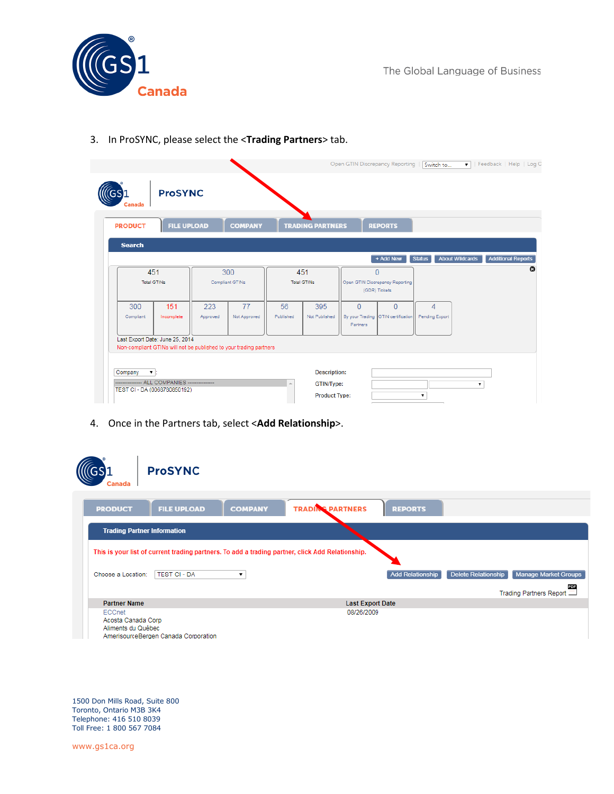

| <b>PRODUCT</b> | <b>FILE UPLOAD</b>              |          | <b>COMPANY</b>                                                     |           | <b>TRADING PARTNERS</b> |          | <b>REPORTS</b>                                    |                |                        |                           |
|----------------|---------------------------------|----------|--------------------------------------------------------------------|-----------|-------------------------|----------|---------------------------------------------------|----------------|------------------------|---------------------------|
| <b>Search</b>  |                                 |          |                                                                    |           |                         |          | + Add New                                         | <b>Status</b>  | <b>About Wildcards</b> | <b>Additional Reports</b> |
|                | 451<br>Total GTINs              |          | 300<br>Compliant GTINs                                             |           | 451<br>Total GTINs      |          | $\overline{0}$<br>Open GTIN Discrepancy Reporting |                |                        |                           |
| 300            | 151                             | 223      | 77                                                                 | 56        | 395                     | $\Omega$ | (GDR) Tickets<br>$\Omega$                         | $\overline{4}$ |                        |                           |
| Compliant      | Incomplete                      | Approved | Not Approved                                                       | Published | Not Published           | Partners | By your Trading GTIN certification                | Pending Export |                        |                           |
|                | Last Export Date: June 25, 2014 |          | Non-compliant GTINs will not be published to your trading partners |           |                         |          |                                                   |                |                        |                           |

3. In ProSYNC, please select the <**Trading Partners**> tab.

4. Once in the Partners tab, select <**Add Relationship**>.

| Canada                                             | <b>ProSYNC</b>                                                                                   |                                           |                         |                     |                                |
|----------------------------------------------------|--------------------------------------------------------------------------------------------------|-------------------------------------------|-------------------------|---------------------|--------------------------------|
| <b>PRODUCT</b>                                     | <b>FILE UPLOAD</b>                                                                               | <b>TRADING PARTNERS</b><br><b>COMPANY</b> | <b>REPORTS</b>          |                     |                                |
| <b>Trading Partner Information</b>                 |                                                                                                  |                                           |                         |                     |                                |
|                                                    | This is your list of current trading partners. To add a trading partner, click Add Relationship. |                                           |                         |                     |                                |
| Choose a Location:                                 | <b>TEST CI - DA</b>                                                                              |                                           | <b>Add Relationship</b> | Delete Relationship | Manage Market Groups           |
|                                                    |                                                                                                  |                                           |                         |                     | PDF<br>Trading Partners Report |
| <b>Partner Name</b>                                |                                                                                                  |                                           | <b>Last Export Date</b> |                     |                                |
| ECCnet<br>Acosta Canada Corp<br>Aliments du Québec | AmerisourceBergen Canada Corporation                                                             |                                           | 08/26/2009              |                     |                                |

1500 Don Mills Road, Suite 800 Toronto, Ontario M3B 3K4 Telephone: 416 510 8039 Toll Free: 1 800 567 7084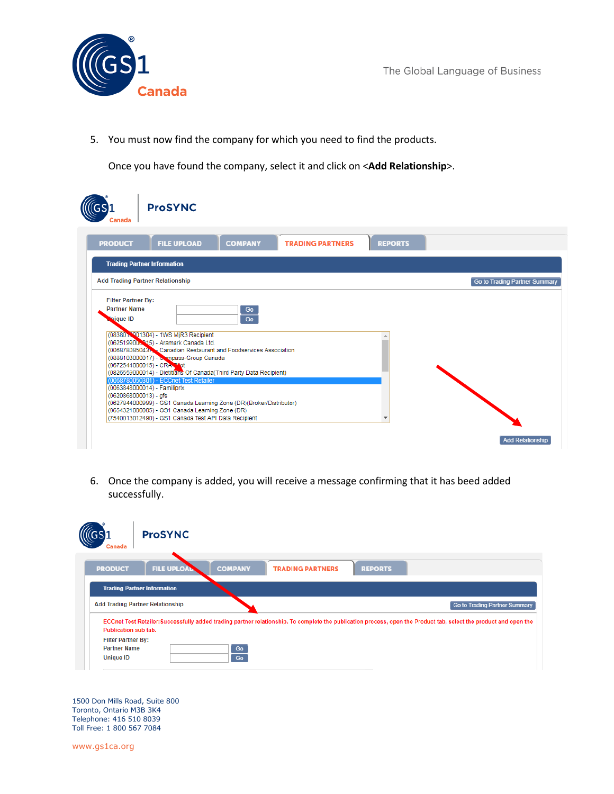Canada

The Global Language of Business

5. You must now find the company for which you need to find the products.

Once you have found the company, select it and click on <**Add Relationship**>.

| Canada                                                              | <b>ProSYNC</b>                                                                                                                                                                                                                                                                                      |                |                         |                |                               |
|---------------------------------------------------------------------|-----------------------------------------------------------------------------------------------------------------------------------------------------------------------------------------------------------------------------------------------------------------------------------------------------|----------------|-------------------------|----------------|-------------------------------|
| <b>PRODUCT</b>                                                      | <b>FILE UPLOAD</b>                                                                                                                                                                                                                                                                                  | <b>COMPANY</b> | <b>TRADING PARTNERS</b> | <b>REPORTS</b> |                               |
|                                                                     | <b>Trading Partner Information</b>                                                                                                                                                                                                                                                                  |                |                         |                |                               |
|                                                                     | <b>Add Trading Partner Relationship</b>                                                                                                                                                                                                                                                             |                |                         |                | Go to Trading Partner Summary |
| <b>Filter Partner By:</b><br><b>Partner Name</b><br><b>Nique ID</b> | (08380 <sup>-1</sup> 1WS MjR3 Recipient<br>(0625199006315) - Aramark Canada Ltd.<br>(006878085043). Canadian Restaurant and Foodservices Association<br>(0888103000017) - Compass-Group Canada<br>(0672544000015) - CRA Prot<br>(0826559000014) - Dietitians Of Canada (Third Party Data Recipient) | Go<br>Go       |                         |                |                               |
| (0620868000013) - qfs                                               | (0068780050301) - ECCnet Test Retailer<br>(0063848000014) - Familiprix<br>(0627844000999) - GS1 Canada Learning Zone (DR)(Broker/Distributor)<br>(0654321000005) - GS1 Canada Learning Zone (DR)<br>(7540013012490) - GS1 Canada Test API Data Recipient                                            |                |                         |                | <b>Add Relationship</b>       |

6. Once the company is added, you will receive a message confirming that it has beed added successfully.



1500 Don Mills Road, Suite 800 Toronto, Ontario M3B 3K4 Telephone: 416 510 8039 Toll Free: 1 800 567 7084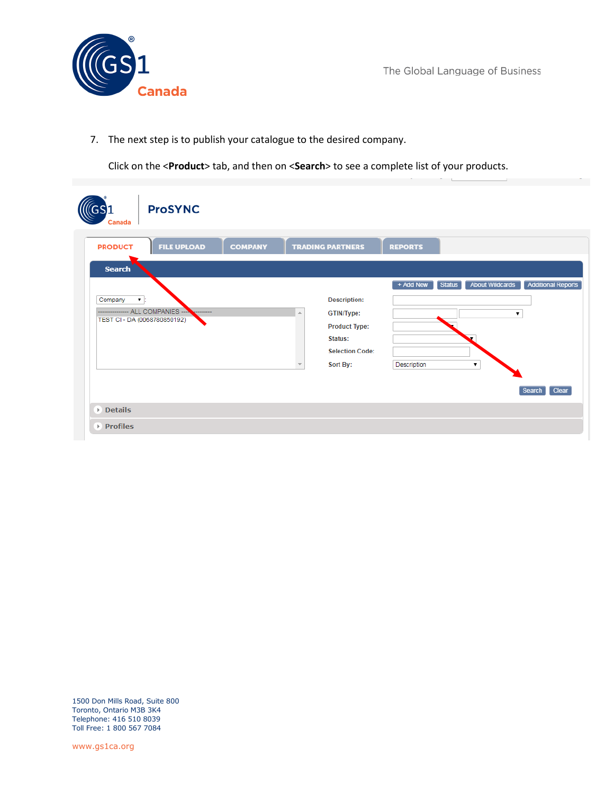**Canada** 

The Global Language of Business

7. The next step is to publish your catalogue to the desired company.

Click on the <**Product**> tab, and then on <**Search**> to see a complete list of your products.

| <b>ProSYNC</b><br><b>Canada</b>                                     |                |                                                                                                            |                          |        |                                                   |                                              |
|---------------------------------------------------------------------|----------------|------------------------------------------------------------------------------------------------------------|--------------------------|--------|---------------------------------------------------|----------------------------------------------|
| <b>FILE UPLOAD</b><br><b>PRODUCT</b><br><b>Search</b>               | <b>COMPANY</b> | <b>TRADING PARTNERS</b>                                                                                    | <b>REPORTS</b>           |        |                                                   |                                              |
| Company<br>v.<br>- ALL COMPANIES --<br>TEST CI - DA (0068780850192) | .              | <b>Description:</b><br>GTIN/Type:<br><b>Product Type:</b><br>Status:<br><b>Selection Code:</b><br>Sort By: | + Add New<br>Description | Status | <b>About Wildcards</b><br>▼<br>$\pmb{\mathrm{v}}$ | <b>Additional Reports</b><br>Clear<br>Search |
| <b>Details</b><br>▶ Profiles                                        |                |                                                                                                            |                          |        |                                                   |                                              |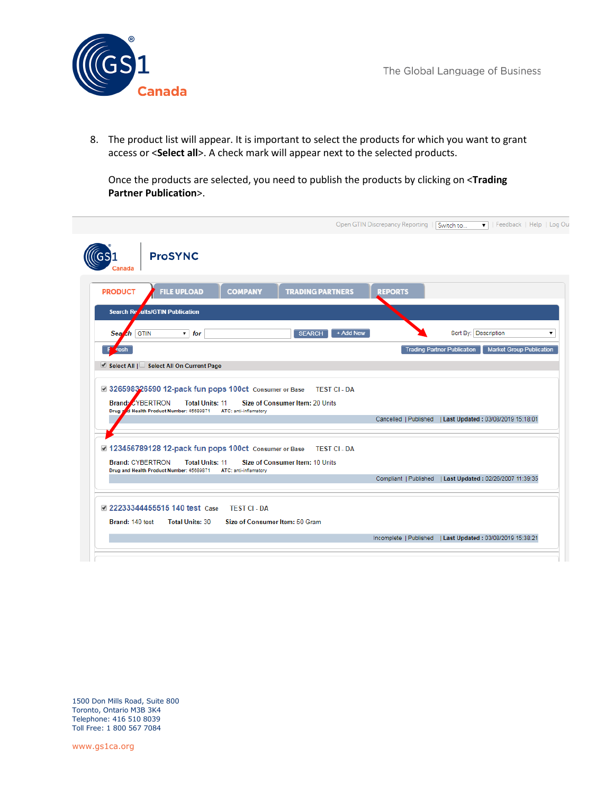

8. The product list will appear. It is important to select the products for which you want to grant access or <**Select all**>. A check mark will appear next to the selected products.

Once the products are selected, you need to publish the products by clicking on <**Trading Partner Publication**>.

| <b>PRODUCT</b>          | <b>FILE UPLOAD</b>                                                     | <b>TRADING PARTNERS</b><br><b>COMPANY</b>                                               | <b>REPORTS</b>      |                                                                       |  |
|-------------------------|------------------------------------------------------------------------|-----------------------------------------------------------------------------------------|---------------------|-----------------------------------------------------------------------|--|
|                         | Search Re dits/GTIN Publication                                        |                                                                                         |                     |                                                                       |  |
| Search GTIN             | $\mathbf{v}$ for                                                       | <b>SEARCH</b>                                                                           | + Add New           | Sort By: Description                                                  |  |
| <b>resh</b>             |                                                                        |                                                                                         |                     | <b>Trading Partner Publication</b><br><b>Market Group Publication</b> |  |
|                         |                                                                        |                                                                                         |                     |                                                                       |  |
| <b>Brand: ZYBERTRON</b> | Select All $\Box$ Select All On Current Page<br><b>Total Units: 11</b> | 326598326590 12-pack fun pops 100ct Consumer or Base<br>Size of Consumer Item: 20 Units | <b>TEST CI - DA</b> |                                                                       |  |
|                         | Drug and Health Product Number: 45689871                               | ATC: anti-inflamatory                                                                   |                     | Cancelled   Published   Last Updated: 03/08/2019 15:18:01             |  |
|                         |                                                                        | 2 123456789128 12-pack fun pops 100ct Consumer or Base TEST CI - DA                     |                     |                                                                       |  |
| <b>Brand: CYBERTRON</b> | <b>Total Units: 11</b>                                                 | Size of Consumer Item: 10 Units<br>ATC: anti-inflamatory                                |                     |                                                                       |  |
|                         | Drug and Health Product Number: 45689871                               |                                                                                         |                     | Compliant   Published   Last Updated: 02/26/2007 11:39:35             |  |

1500 Don Mills Road, Suite 800 Toronto, Ontario M3B 3K4 Telephone: 416 510 8039 Toll Free: 1 800 567 7084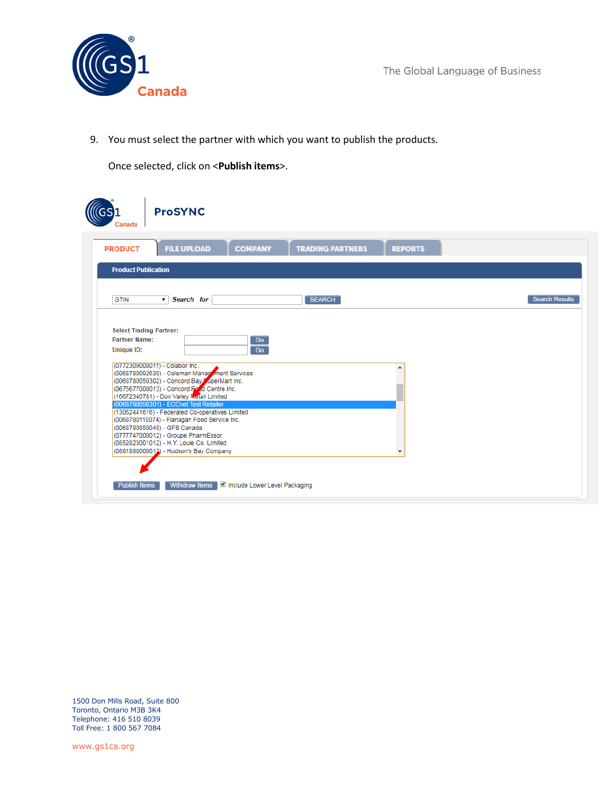

9. You must select the partner with which you want to publish the products.

Once selected, click on <**Publish items**>.

| Canada                                                                      | <b>ProSYNC</b>                                                                                                                                                                                                                                                                                                                                                                                                                                                                             |                                                       |                         |                |                       |
|-----------------------------------------------------------------------------|--------------------------------------------------------------------------------------------------------------------------------------------------------------------------------------------------------------------------------------------------------------------------------------------------------------------------------------------------------------------------------------------------------------------------------------------------------------------------------------------|-------------------------------------------------------|-------------------------|----------------|-----------------------|
| <b>PRODUCT</b>                                                              | <b>FILE UPLOAD</b>                                                                                                                                                                                                                                                                                                                                                                                                                                                                         | <b>COMPANY</b>                                        | <b>TRADING PARTNERS</b> | <b>REPORTS</b> |                       |
| <b>Product Publication</b>                                                  |                                                                                                                                                                                                                                                                                                                                                                                                                                                                                            |                                                       |                         |                |                       |
| <b>GTIN</b>                                                                 | v Search for                                                                                                                                                                                                                                                                                                                                                                                                                                                                               |                                                       | <b>SEARCH</b>           |                | <b>Search Results</b> |
| <b>Select Trading Partner:</b><br><b>Partner Name:</b><br><b>Unique ID:</b> | (0772309000011) - Colabor Inc.<br>(0068780092639) - Coleman Management Services<br>(0068780050302) - Concord Bay ZaperMart Inc.<br>(0675677000013) - Concord Food Centre Inc.<br>(16672340781) - Don Valley Retail Limited<br>(0068780050301) - ECCnet Test Retailer<br>(13062441616) - Federated Co-operatives Limited<br>(0068780110074) - Flanagan Food Service Inc.<br>(0068780850048) - GFS Canada<br>(0777747000012) - Groupe PharmEssor<br>(0852823001012) - H.Y. Louie Co. Limited | Go<br>$G_0$<br>(0881888000012) - Hudson's Bay Company |                         |                |                       |